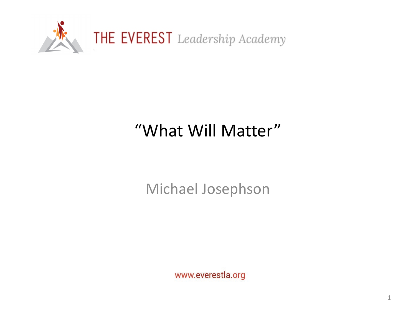

## "What Will Matter"

Michael Josephson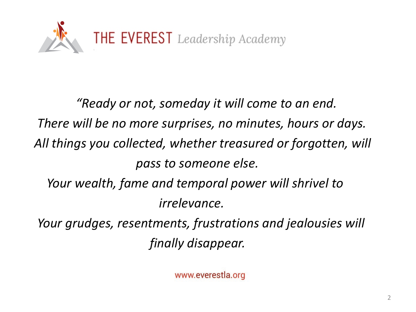

*"Ready or not, someday it will come to an end. There will be no more surprises, no minutes, hours or days. All things you collected, whether treasured or forgotten, will pass to someone else. Your wealth, fame and temporal power will shrivel to irrelevance. Your grudges, resentments, frustrations and jealousies will finally disappear.*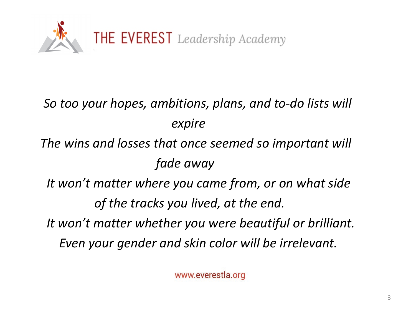

## *So too your hopes, ambitions, plans, and to-do lists will expire*

*The wins and losses that once seemed so important will fade away*

*It won't matter where you came from, or on what side of the tracks you lived, at the end. It won't matter whether you were beautiful or brilliant.*

*Even your gender and skin color will be irrelevant.*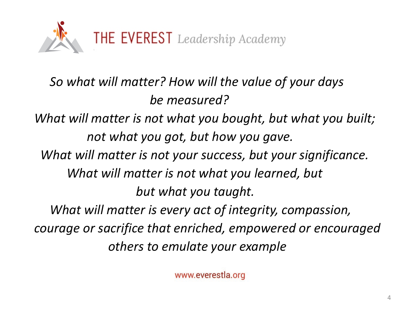

*So what will matter? How will the value of your days be measured? What will matter is not what you bought, but what you built; not what you got, but how you gave. What will matter is not your success, but your significance. What will matter is not what you learned, but but what you taught. What will matter is every act of integrity, compassion, courage or sacrifice that enriched, empowered or encouraged others to emulate your example*